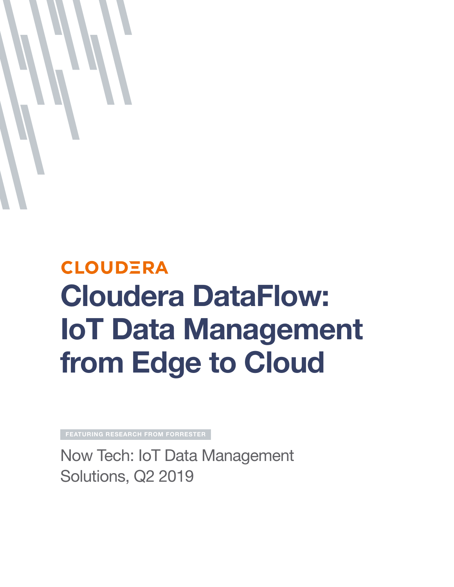

# **CLOUDERA** Cloudera DataFlow: IoT Data Management from Edge to Cloud

featuring research from forrester

Now Tech: IoT Data Management Solutions, Q2 2019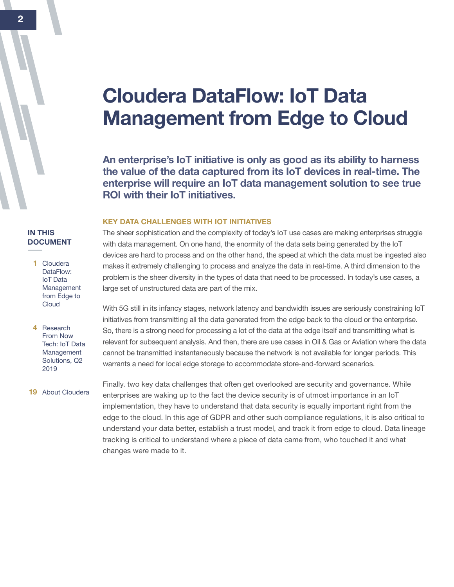## Cloudera DataFlow: IoT Data Management from Edge to Cloud

An enterprise's IoT initiative is only as good as its ability to harness the value of the data captured from its IoT devices in real-time. The enterprise will require an IoT data management solution to see true ROI with their IoT initiatives.

#### KEY DATA CHALLENGES WITH IOT INITIATIVES

The sheer sophistication and the complexity of today's IoT use cases are making enterprises struggle with data management. On one hand, the enormity of the data sets being generated by the IoT devices are hard to process and on the other hand, the speed at which the data must be ingested also makes it extremely challenging to process and analyze the data in real-time. A third dimension to the problem is the sheer diversity in the types of data that need to be processed. In today's use cases, a large set of unstructured data are part of the mix.

With 5G still in its infancy stages, network latency and bandwidth issues are seriously constraining IoT initiatives from transmitting all the data generated from the edge back to the cloud or the enterprise. So, there is a strong need for processing a lot of the data at the edge itself and transmitting what is relevant for subsequent analysis. And then, there are use cases in Oil & Gas or Aviation where the data cannot be transmitted instantaneously because the network is not available for longer periods. This warrants a need for local edge storage to accommodate store-and-forward scenarios.

Finally. two key data challenges that often get overlooked are security and governance. While enterprises are waking up to the fact the device security is of utmost importance in an IoT implementation, they have to understand that data security is equally important right from the edge to the cloud. In this age of GDPR and other such compliance regulations, it is also critical to understand your data better, establish a trust model, and track it from edge to cloud. Data lineage tracking is critical to understand where a piece of data came from, who touched it and what changes were made to it.

#### IN THIS **DOCUMENT**

| Cloudera     |  |  |  |  |
|--------------|--|--|--|--|
| DataFlow:    |  |  |  |  |
| IoT Data     |  |  |  |  |
| Management   |  |  |  |  |
| from Edge to |  |  |  |  |
| Cloud        |  |  |  |  |
|              |  |  |  |  |

4 Research From Now Tech: IoT Data Management Solutions, Q2 2019

19 About Cloudera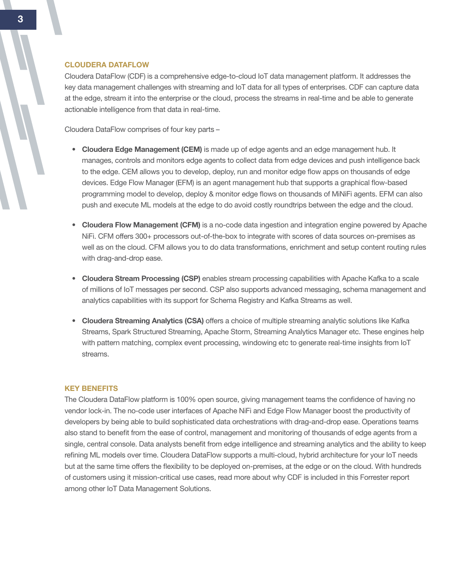#### CLOUDERA DATAFLOW

Cloudera DataFlow (CDF) is a comprehensive edge-to-cloud IoT data management platform. It addresses the key data management challenges with streaming and IoT data for all types of enterprises. CDF can capture data at the edge, stream it into the enterprise or the cloud, process the streams in real-time and be able to generate actionable intelligence from that data in real-time.

Cloudera DataFlow comprises of four key parts –

- Cloudera Edge Management (CEM) is made up of edge agents and an edge management hub. It manages, controls and monitors edge agents to collect data from edge devices and push intelligence back to the edge. CEM allows you to develop, deploy, run and monitor edge flow apps on thousands of edge devices. Edge Flow Manager (EFM) is an agent management hub that supports a graphical flow-based programming model to develop, deploy & monitor edge flows on thousands of MiNiFi agents. EFM can also push and execute ML models at the edge to do avoid costly roundtrips between the edge and the cloud.
- Cloudera Flow Management (CFM) is a no-code data ingestion and integration engine powered by Apache NiFi. CFM offers 300+ processors out-of-the-box to integrate with scores of data sources on-premises as well as on the cloud. CFM allows you to do data transformations, enrichment and setup content routing rules with drag-and-drop ease.
- Cloudera Stream Processing (CSP) enables stream processing capabilities with Apache Kafka to a scale of millions of IoT messages per second. CSP also supports advanced messaging, schema management and analytics capabilities with its support for Schema Registry and Kafka Streams as well.
- Cloudera Streaming Analytics (CSA) offers a choice of multiple streaming analytic solutions like Kafka Streams, Spark Structured Streaming, Apache Storm, Streaming Analytics Manager etc. These engines help with pattern matching, complex event processing, windowing etc to generate real-time insights from IoT streams.

#### KEY BENEFITS

The Cloudera DataFlow platform is 100% open source, giving management teams the confidence of having no vendor lock-in. The no-code user interfaces of Apache NiFi and Edge Flow Manager boost the productivity of developers by being able to build sophisticated data orchestrations with drag-and-drop ease. Operations teams also stand to benefit from the ease of control, management and monitoring of thousands of edge agents from a single, central console. Data analysts benefit from edge intelligence and streaming analytics and the ability to keep refining ML models over time. Cloudera DataFlow supports a multi-cloud, hybrid architecture for your IoT needs but at the same time offers the flexibility to be deployed on-premises, at the edge or on the cloud. With hundreds of customers using it mission-critical use cases, read more about why CDF is included in this Forrester report among other IoT Data Management Solutions.

 $\overline{\phantom{a}}$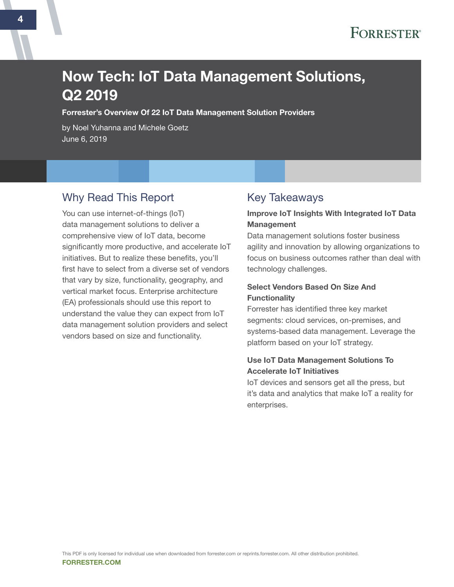## Now Tech: IoT Data Management Solutions, Q2 2019

Forrester's Overview Of 22 IoT Data Management Solution Providers

by Noel Yuhanna and Michele Goetz June 6, 2019

## Why Read This Report

You can use internet-of-things (IoT) data management solutions to deliver a comprehensive view of IoT data, become significantly more productive, and accelerate IoT initiatives. But to realize these benefits, you'll first have to select from a diverse set of vendors that vary by size, functionality, geography, and vertical market focus. Enterprise architecture (EA) professionals should use this report to understand the value they can expect from IoT data management solution providers and select vendors based on size and functionality.

## Key Takeaways

#### Improve IoT Insights With Integrated IoT Data **Management**

Data management solutions foster business agility and innovation by allowing organizations to focus on business outcomes rather than deal with technology challenges.

#### Select Vendors Based On Size And **Functionality**

Forrester has identified three key market segments: cloud services, on-premises, and systems-based data management. Leverage the platform based on your IoT strategy.

#### Use IoT Data Management Solutions To Accelerate IoT Initiatives

IoT devices and sensors get all the press, but it's data and analytics that make IoT a reality for enterprises.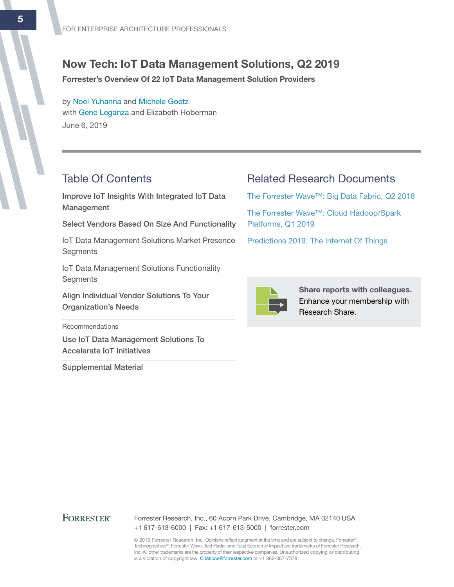## Now Tech: IoT Data Management Solutions, Q2 2019

Forrester's Overview Of 22 IoT Data Management Solution Providers

by [Noel Yuhanna](http://www.forrester.com/go?objectid=BIO852) and [Michele Goetz](http://www.forrester.com/go?objectid=BIO5224) with [Gene Leganza](http://www.forrester.com/go?objectid=BIO794) and Elizabeth Hoberman June 6, 2019

## Table Of Contents

Improve IoT Insights With Integrated IoT Data Management

Select Vendors Based On Size And Functionality

IoT Data Management Solutions Market Presence **Segments** 

IoT Data Management Solutions Functionality **Segments** 

Align Individual Vendor Solutions To Your Organization's Needs

**Recommendations** 

Use IoT Data Management Solutions To Accelerate IoT Initiatives

Supplemental Material

### Related Research Documents

[The Forrester Wave™: Big Data Fabric, Q2 2018](http://www.forrester.com/go?objectid=RES141570)

[The Forrester Wave™: Cloud Hadoop/Spark](http://www.forrester.com/go?objectid=RES142663)  [Platforms, Q1 2019](http://www.forrester.com/go?objectid=RES142663)

[Predictions 2019: The Internet Of Things](http://www.forrester.com/go?objectid=RES144675)



Share reports with colleagues. Enhance your membership with Research Share.

#### **FORRESTER®**

Forrester Research, Inc., 60 Acorn Park Drive, Cambridge, MA 02140 USA +1 617-613-6000 | Fax: +1 617-613-5000 | forrester.com

© 2019 Forrester Research, Inc. Opinions reflect judgment at the time and are subject to change. Forrester®, Technographics®, Forrester Wave, TechRadar, and Total Economic Impact are trademarks of Forrester Research, Inc. All other trademarks are the property of their respective companies. Unauthorized copying or distributing is a violation of copyright law. Citations@forrester.com or +1 866-367-7378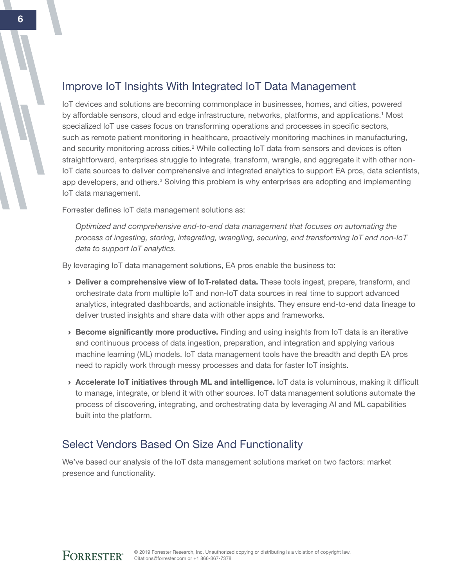## Improve IoT Insights With Integrated IoT Data Management

IoT devices and solutions are becoming commonplace in businesses, homes, and cities, powered by affordable sensors, cloud and edge infrastructure, networks, platforms, and applications.<sup>1</sup> Most specialized IoT use cases focus on transforming operations and processes in specific sectors, such as remote patient monitoring in healthcare, proactively monitoring machines in manufacturing, and security monitoring across cities.<sup>2</sup> While collecting IoT data from sensors and devices is often straightforward, enterprises struggle to integrate, transform, wrangle, and aggregate it with other non-IoT data sources to deliver comprehensive and integrated analytics to support EA pros, data scientists, app developers, and others.<sup>3</sup> Solving this problem is why enterprises are adopting and implementing IoT data management.

Forrester defines IoT data management solutions as:

*Optimized and comprehensive end-to-end data management that focuses on automating the process of ingesting, storing, integrating, wrangling, securing, and transforming IoT and non-IoT data to support IoT analytics.*

By leveraging IoT data management solutions, EA pros enable the business to:

- › Deliver a comprehensive view of IoT-related data. These tools ingest, prepare, transform, and orchestrate data from multiple IoT and non-IoT data sources in real time to support advanced analytics, integrated dashboards, and actionable insights. They ensure end-to-end data lineage to deliver trusted insights and share data with other apps and frameworks.
- › Become significantly more productive. Finding and using insights from IoT data is an iterative and continuous process of data ingestion, preparation, and integration and applying various machine learning (ML) models. IoT data management tools have the breadth and depth EA pros need to rapidly work through messy processes and data for faster IoT insights.
- › Accelerate IoT initiatives through ML and intelligence. IoT data is voluminous, making it difficult to manage, integrate, or blend it with other sources. IoT data management solutions automate the process of discovering, integrating, and orchestrating data by leveraging AI and ML capabilities built into the platform.

## Select Vendors Based On Size And Functionality

We've based our analysis of the IoT data management solutions market on two factors: market presence and functionality.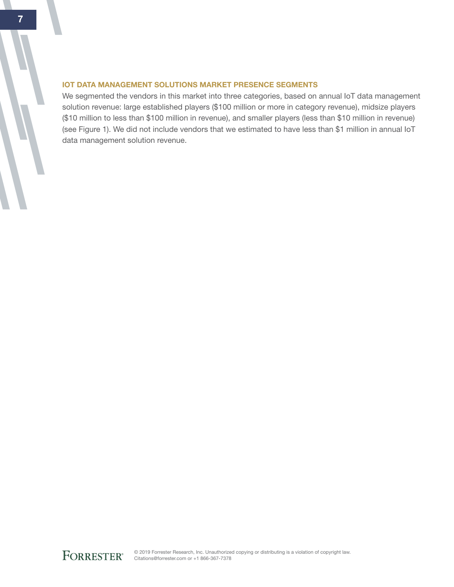#### IoT Data Management Solutions Market Presence Segments

We segmented the vendors in this market into three categories, based on annual IoT data management solution revenue: large established players (\$100 million or more in category revenue), midsize players (\$10 million to less than \$100 million in revenue), and smaller players (less than \$10 million in revenue) (see Figure 1). We did not include vendors that we estimated to have less than \$1 million in annual IoT data management solution revenue.

© 2019 Forrester Research, Inc. Unauthorized copying or distributing is a violation of copyright law. Citations@forrester.com or +1 866-367-7378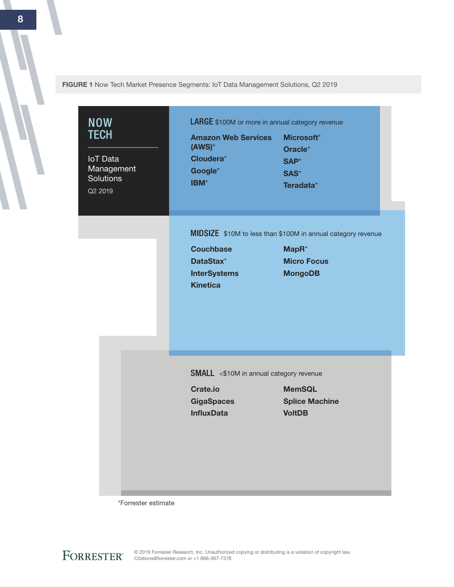FIGURE 1 Now Tech Market Presence Segments: IoT Data Management Solutions, Q2 2019

| <b>NOW</b><br><b>TECH</b><br><b>IoT</b> Data<br>Management<br><b>Solutions</b><br>Q2 2019 | <b>LARGE</b> \$100M or more in annual category revenue<br><b>Amazon Web Services</b><br>$(ANS)^*$<br>Cloudera*<br>Google*<br>IBM* | Microsoft*<br>Oracle*<br>SAP*<br>SAS*<br>Teradata*                                                                        |  |
|-------------------------------------------------------------------------------------------|-----------------------------------------------------------------------------------------------------------------------------------|---------------------------------------------------------------------------------------------------------------------------|--|
|                                                                                           | <b>Couchbase</b><br>DataStax*<br><b>InterSystems</b><br><b>Kinetica</b>                                                           | MIDSIZE \$10M to less than \$100M in annual category revenue<br>MapR <sup>*</sup><br><b>Micro Focus</b><br><b>MongoDB</b> |  |
|                                                                                           | <b>SMALL</b> <\$10M in annual category revenue<br><b>Crate.io</b><br><b>GigaSpaces</b><br><b>InfluxData</b>                       | <b>MemSQL</b><br><b>Splice Machine</b><br><b>VoltDB</b>                                                                   |  |

\*Forrester estimate

8

© 2019 Forrester Research, Inc. Unauthorized copying or distributing is a violation of copyright law. Citations@forrester.com or +1 866-367-7378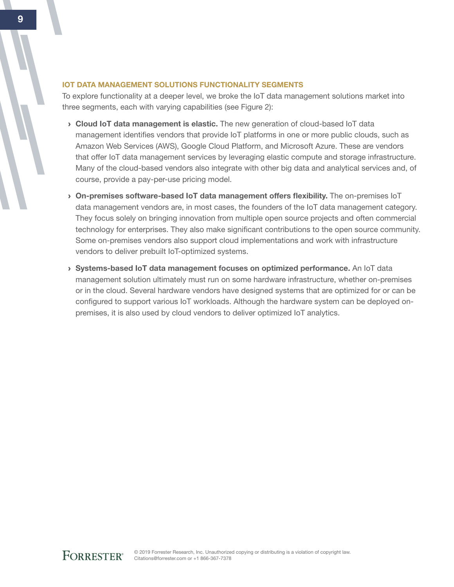#### IoT Data Management Solutions Functionality Segments

To explore functionality at a deeper level, we broke the IoT data management solutions market into three segments, each with varying capabilities (see Figure 2):

- › Cloud IoT data management is elastic. The new generation of cloud-based IoT data management identifies vendors that provide IoT platforms in one or more public clouds, such as Amazon Web Services (AWS), Google Cloud Platform, and Microsoft Azure. These are vendors that offer IoT data management services by leveraging elastic compute and storage infrastructure. Many of the cloud-based vendors also integrate with other big data and analytical services and, of course, provide a pay-per-use pricing model.
- › On-premises software-based IoT data management offers flexibility. The on-premises IoT data management vendors are, in most cases, the founders of the IoT data management category. They focus solely on bringing innovation from multiple open source projects and often commercial technology for enterprises. They also make significant contributions to the open source community. Some on-premises vendors also support cloud implementations and work with infrastructure vendors to deliver prebuilt IoT-optimized systems.
- › Systems-based IoT data management focuses on optimized performance. An IoT data management solution ultimately must run on some hardware infrastructure, whether on-premises or in the cloud. Several hardware vendors have designed systems that are optimized for or can be configured to support various IoT workloads. Although the hardware system can be deployed onpremises, it is also used by cloud vendors to deliver optimized IoT analytics.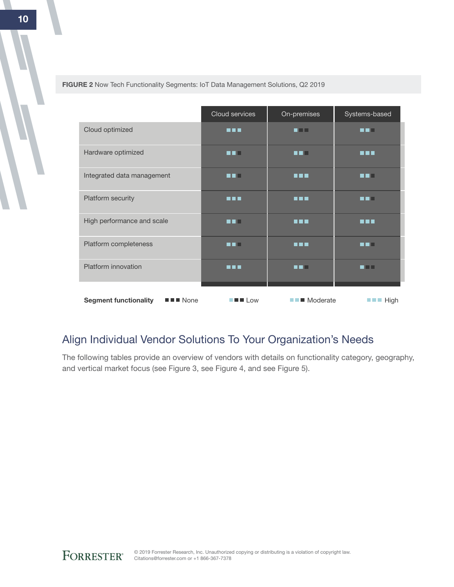|                                                                    | Cloud services                                            | On-premises             | Systems-based                      |
|--------------------------------------------------------------------|-----------------------------------------------------------|-------------------------|------------------------------------|
| Cloud optimized                                                    | n 11 N                                                    | n Film                  |                                    |
| Hardware optimized                                                 |                                                           | - 1                     | N 8 E                              |
| Integrated data management                                         | . .                                                       | n i n                   | .                                  |
| Platform security                                                  | n na m                                                    | n i n                   | . .                                |
| High performance and scale                                         | . .                                                       | <b>HH</b>               | <b>R R R</b>                       |
| Platform completeness                                              | - -                                                       | n n n                   |                                    |
| Platform innovation                                                | <b>THE</b>                                                | n o Fi                  | 70 D                               |
| $\blacksquare$ $\blacksquare$ None<br><b>Segment functionality</b> | $\blacksquare$ $\blacksquare$ $\blacksquare$ $\text{Low}$ | $\blacksquare$ Moderate | $\blacksquare$ $\blacksquare$ High |

FIGURE 2 Now Tech Functionality Segments: IoT Data Management Solutions, Q2 2019

## Align Individual Vendor Solutions To Your Organization's Needs

The following tables provide an overview of vendors with details on functionality category, geography, and vertical market focus (see Figure 3, see Figure 4, and see Figure 5).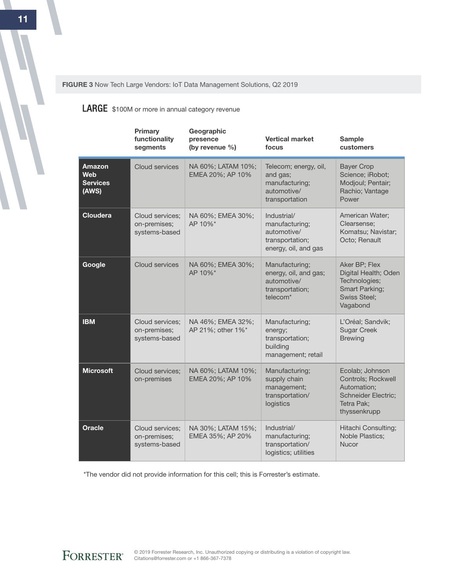FIGURE 3 Now Tech Large Vendors: IoT Data Management Solutions, Q2 2019

**LARGE** \$100M or more in annual category revenue

|                                           | <b>Primary</b><br>functionality<br>segments      | Geographic<br>presence<br>(by revenue %) | <b>Vertical market</b><br>focus                                                                   | <b>Sample</b><br>customers                                                                                       |
|-------------------------------------------|--------------------------------------------------|------------------------------------------|---------------------------------------------------------------------------------------------------|------------------------------------------------------------------------------------------------------------------|
| Amazon<br>Web<br><b>Services</b><br>(AWS) | <b>Cloud services</b>                            | NA 60%; LATAM 10%;<br>EMEA 20%; AP 10%   | Telecom; energy, oil,<br>and gas;<br>manufacturing;<br>automotive/<br>transportation              | <b>Bayer Crop</b><br>Science; iRobot;<br>Modjoul; Pentair;<br>Rachio; Vantage<br>Power                           |
| <b>Cloudera</b>                           | Cloud services;<br>on-premises;<br>systems-based | NA 60%; EMEA 30%;<br>AP 10%*             | Industrial/<br>manufacturing;<br>automotive/<br>transportation;<br>energy, oil, and gas           | American Water;<br>Clearsense;<br>Komatsu; Navistar;<br>Octo; Renault                                            |
| Google                                    | Cloud services                                   | NA 60%; EMEA 30%;<br>AP 10%*             | Manufacturing;<br>energy, oil, and gas;<br>automotive/<br>transportation;<br>telecom <sup>*</sup> | Aker BP; Flex<br>Digital Health; Oden<br>Technologies;<br>Smart Parking;<br><b>Swiss Steel;</b><br>Vagabond      |
| <b>IBM</b>                                | Cloud services:<br>on-premises;<br>systems-based | NA 46%; EMEA 32%;<br>AP 21%; other 1%*   | Manufacturing;<br>energy;<br>transportation;<br>building<br>management; retail                    | L'Oréal; Sandvik;<br><b>Sugar Creek</b><br><b>Brewing</b>                                                        |
| <b>Microsoft</b>                          | Cloud services:<br>on-premises                   | NA 60%; LATAM 10%;<br>EMEA 20%; AP 10%   | Manufacturing;<br>supply chain<br>management;<br>transportation/<br>logistics                     | Ecolab; Johnson<br>Controls; Rockwell<br>Automation;<br><b>Schneider Electric;</b><br>Tetra Pak;<br>thyssenkrupp |
| <b>Oracle</b>                             | Cloud services;<br>on-premises;<br>systems-based | NA 30%; LATAM 15%;<br>EMEA 35%; AP 20%   | Industrial/<br>manufacturing;<br>transportation/<br>logistics; utilities                          | Hitachi Consulting;<br>Noble Plastics;<br>Nucor                                                                  |

\*The vendor did not provide information for this cell; this is Forrester's estimate.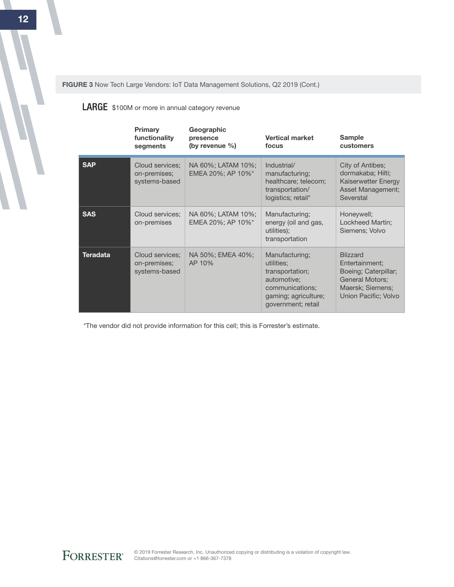FIGURE 3 Now Tech Large Vendors: IoT Data Management Solutions, Q2 2019 (Cont.)

**LARGE** \$100M or more in annual category revenue

|                 | Primary<br>functionality<br>segments             | Geographic<br>presence<br>(by revenue $\%$ ) | <b>Vertical market</b><br>focus                                                                                                 | <b>Sample</b><br>customers                                                                                                      |
|-----------------|--------------------------------------------------|----------------------------------------------|---------------------------------------------------------------------------------------------------------------------------------|---------------------------------------------------------------------------------------------------------------------------------|
| <b>SAP</b>      | Cloud services;<br>on-premises;<br>systems-based | NA 60%; LATAM 10%;<br>EMEA 20%; AP 10%*      | Industrial/<br>manufacturing;<br>healthcare; telecom;<br>transportation/<br>logistics; retail*                                  | City of Antibes;<br>dormakaba; Hilti;<br>Kaiserwetter Energy<br>Asset Management;<br>Severstal                                  |
| <b>SAS</b>      | Cloud services;<br>on-premises                   | NA 60%; LATAM 10%;<br>EMEA 20%; AP 10%*      | Manufacturing;<br>energy (oil and gas,<br>utilities);<br>transportation                                                         | Honeywell;<br>Lockheed Martin;<br>Siemens; Volvo                                                                                |
| <b>Teradata</b> | Cloud services;<br>on-premises;<br>systems-based | NA 50%; EMEA 40%;<br>AP 10%                  | Manufacturing;<br>utilities:<br>transportation;<br>automotive;<br>communications;<br>gaming; agriculture;<br>government; retail | <b>Blizzard</b><br>Entertainment;<br>Boeing; Caterpillar;<br><b>General Motors:</b><br>Maersk; Siemens;<br>Union Pacific; Volvo |

\*The vendor did not provide information for this cell; this is Forrester's estimate.

FORRESTER®

© 2019 Forrester Research, Inc. Unauthorized copying or distributing is a violation of copyright law. Citations@forrester.com or +1 866-367-7378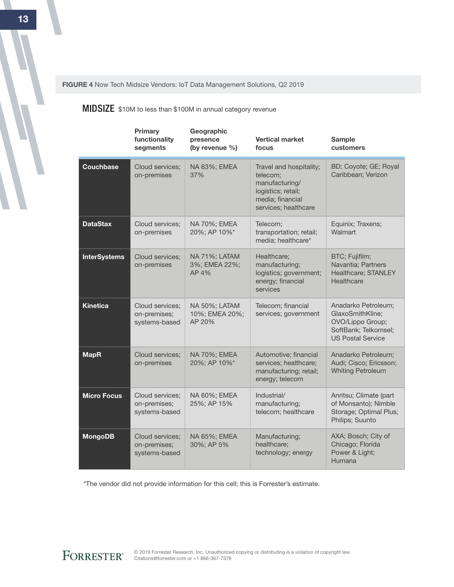FIGURE 4 Now Tech Midsize Vendors: IoT Data Management Solutions, Q2 2019

#### **MIDSIZE** \$10M to less than \$100M in annual category revenue

|                     | Primary<br>functionality<br>segments             | Geographic<br>presence<br>(by revenue %)  | <b>Vertical market</b><br>focus                                                                                         | <b>Sample</b><br>customers                                                                                      |
|---------------------|--------------------------------------------------|-------------------------------------------|-------------------------------------------------------------------------------------------------------------------------|-----------------------------------------------------------------------------------------------------------------|
| Couchbase           | Cloud services:<br>on-premises                   | NA 63%; EMEA<br>37%                       | Travel and hospitality;<br>telecom:<br>manufacturing/<br>logistics; retail;<br>media; financial<br>services; healthcare | BD; Coyote; GE; Royal<br>Caribbean; Verizon                                                                     |
| <b>DataStax</b>     | Cloud services:<br>on-premises                   | NA 70%; EMEA<br>20%; AP 10%*              | Telecom;<br>transportation; retail;<br>media; healthcare*                                                               | Equinix; Traxens;<br>Walmart                                                                                    |
| <b>InterSystems</b> | Cloud services;<br>on-premises                   | NA 71%; LATAM<br>3%; EMEA 22%;<br>AP 4%   | Healthcare;<br>manufacturing;<br>logistics; government;<br>energy; financial<br>services                                | BTC; Fujifilm;<br>Navantia; Partners<br>Healthcare; STANLEY<br>Healthcare                                       |
| <b>Kinetica</b>     | Cloud services;<br>on-premises;<br>systems-based | NA 50%; LATAM<br>10%; EMEA 20%;<br>AP 20% | Telecom; financial<br>services; government                                                                              | Anadarko Petroleum;<br>GlaxoSmithKline;<br>OVO/Lippo Group;<br>SoftBank; Telkomsel;<br><b>US Postal Service</b> |
| <b>MapR</b>         | Cloud services;<br>on-premises                   | NA 70%; EMEA<br>20%; AP 10%*              | Automotive; financial<br>services; healthcare;<br>manufacturing; retail;<br>energy; telecom                             | Anadarko Petroleum;<br>Audi; Cisco; Ericsson;<br><b>Whiting Petroleum</b>                                       |
| <b>Micro Focus</b>  | Cloud services;<br>on-premises;<br>systems-based | NA 60%; EMEA<br>25%; AP 15%               | Industrial/<br>manufacturing;<br>telecom; healthcare                                                                    | Anritsu; Climate (part<br>of Monsanto); Nimble<br>Storage; Optimal Plus;<br>Philips; Suunto                     |
| <b>MongoDB</b>      | Cloud services:<br>on-premises;<br>systems-based | NA 65%; EMEA<br>30%; AP 5%                | Manufacturing;<br>healthcare:<br>technology; energy                                                                     | AXA; Bosch; City of<br>Chicago; Florida<br>Power & Light;<br>Humana                                             |

\*The vendor did not provide information for this cell; this is Forrester's estimate.

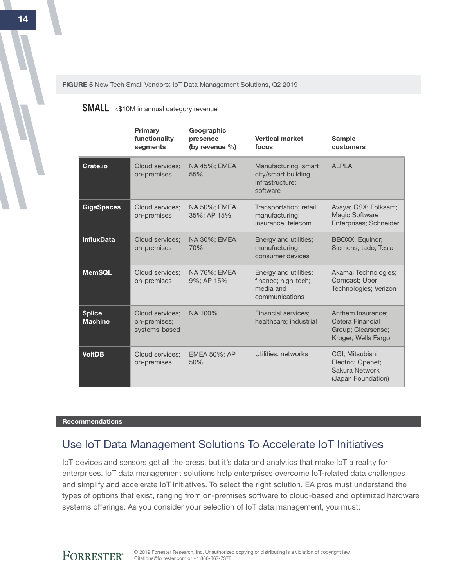FIGURE 5 Now Tech Small Vendors: IoT Data Management Solutions, Q2 2019

#### SMALL <\$10M in annual category revenue

|                                 | Primary<br>functionality<br>segments             | Geographic<br>presence<br>(by revenue %) | <b>Vertical market</b><br>focus                                             | <b>Sample</b><br>customers                                                          |
|---------------------------------|--------------------------------------------------|------------------------------------------|-----------------------------------------------------------------------------|-------------------------------------------------------------------------------------|
| Crate.io                        | Cloud services;<br>on-premises                   | NA 45%; EMEA<br>55%                      | Manufacturing; smart<br>city/smart building<br>infrastructure:<br>software  | AI PI A                                                                             |
| <b>GigaSpaces</b>               | Cloud services;<br>on-premises                   | NA 50%; EMEA<br>35%; AP 15%              | Transportation; retail;<br>manufacturing;<br>insurance; telecom             | Avaya; CSX; Folksam;<br><b>Magic Software</b><br>Enterprises; Schneider             |
| <b>InfluxData</b>               | Cloud services:<br>on-premises                   | NA 30%; EMEA<br>70%                      | Energy and utilities;<br>manufacturing;<br>consumer devices                 | <b>BBOXX</b> ; Equinor;<br>Siemens; tado; Tesla                                     |
| <b>MemSQL</b>                   | Cloud services:<br>on-premises                   | NA 76%; EMEA<br>9%; AP 15%               | Energy and utilities;<br>finance; high-tech;<br>media and<br>communications | Akamai Technologies;<br>Comcast; Uber<br>Technologies; Verizon                      |
| <b>Splice</b><br><b>Machine</b> | Cloud services:<br>on-premises;<br>systems-based | NA 100%                                  | <b>Financial services;</b><br>healthcare; industrial                        | Anthem Insurance;<br>Cetera Financial<br>Group: Clearsense:<br>Kroger; Wells Fargo  |
| <b>VoltDB</b>                   | Cloud services:<br>on-premises                   | <b>EMEA 50%; AP</b><br>50%               | Utilities; networks                                                         | CGI; Mitsubishi<br>Electric; Openet;<br><b>Sakura Network</b><br>(Japan Foundation) |

#### **Recommendations**

## Use IoT Data Management Solutions To Accelerate IoT Initiatives

IoT devices and sensors get all the press, but it's data and analytics that make IoT a reality for enterprises. IoT data management solutions help enterprises overcome IoT-related data challenges and simplify and accelerate IoT initiatives. To select the right solution, EA pros must understand the types of options that exist, ranging from on-premises software to cloud-based and optimized hardware systems offerings. As you consider your selection of IoT data management, you must:

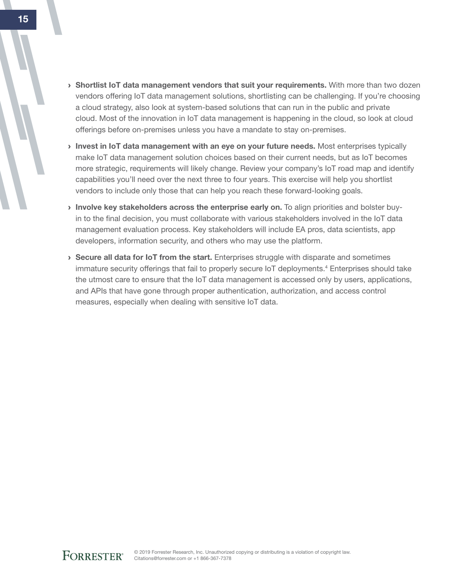- > Shortlist IoT data management vendors that suit your requirements. With more than two dozen vendors offering IoT data management solutions, shortlisting can be challenging. If you're choosing a cloud strategy, also look at system-based solutions that can run in the public and private cloud. Most of the innovation in IoT data management is happening in the cloud, so look at cloud offerings before on-premises unless you have a mandate to stay on-premises.
- Invest in IoT data management with an eye on your future needs. Most enterprises typically make IoT data management solution choices based on their current needs, but as IoT becomes more strategic, requirements will likely change. Review your company's IoT road map and identify capabilities you'll need over the next three to four years. This exercise will help you shortlist vendors to include only those that can help you reach these forward-looking goals.
- > Involve key stakeholders across the enterprise early on. To align priorities and bolster buyin to the final decision, you must collaborate with various stakeholders involved in the IoT data management evaluation process. Key stakeholders will include EA pros, data scientists, app developers, information security, and others who may use the platform.
- $\rightarrow$  Secure all data for IoT from the start. Enterprises struggle with disparate and sometimes immature security offerings that fail to properly secure IoT deployments.<sup>4</sup> Enterprises should take the utmost care to ensure that the IoT data management is accessed only by users, applications, and APIs that have gone through proper authentication, authorization, and access control measures, especially when dealing with sensitive IoT data.

 $\overline{a}$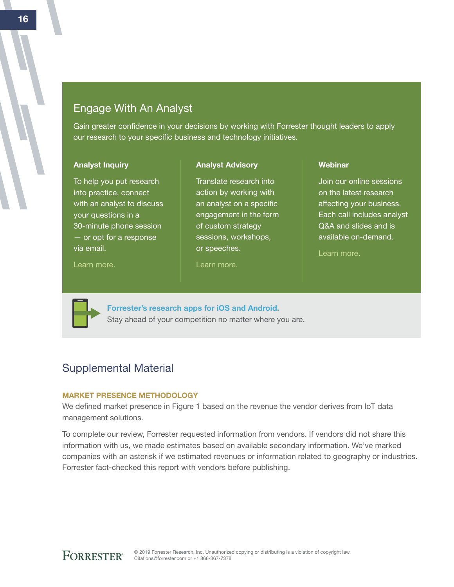## Engage With An Analyst

Gain greater confidence in your decisions by working with Forrester thought leaders to apply our research to your specific business and technology initiatives.

> Translate research into action by working with an analyst on a specific engagement in the form of custom strategy sessions, workshops,

Analyst Advisory

#### Analyst Inquiry

To help you put research into practice, connect with an analyst to discuss your questions in a 30-minute phone session — or opt for a response via email.

#### [Learn more.](http://forr.com/1einFan)

[Learn more.](http://www.forrester.com/Analyst-Advisory/-/E-MPL172)

or speeches.

#### Webinar

Join our online sessions on the latest research affecting your business. Each call includes analyst Q&A and slides and is available on-demand.

[Learn more](https://www.forrester.com/events?N=10006+5025).



[Forrester's research apps for iOS and Android.](http://www.forrester.com/app) Stay ahead of your competition no matter where you are.

## Supplemental Material

#### Market Presence Methodology

We defined market presence in Figure 1 based on the revenue the vendor derives from IoT data management solutions.

To complete our review, Forrester requested information from vendors. If vendors did not share this information with us, we made estimates based on available secondary information. We've marked companies with an asterisk if we estimated revenues or information related to geography or industries. Forrester fact-checked this report with vendors before publishing.

16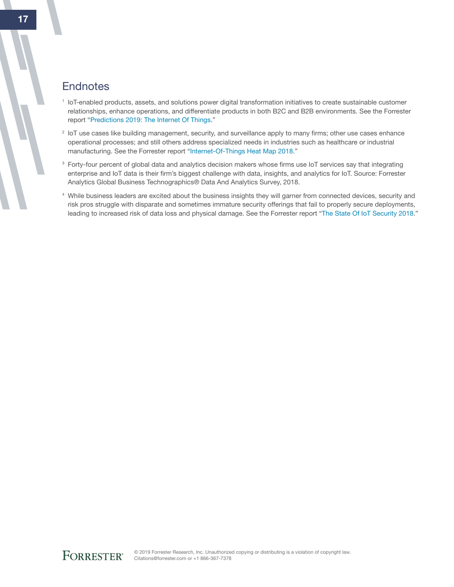## **Endnotes**

- <sup>1</sup> IoT-enabled products, assets, and solutions power digital transformation initiatives to create sustainable customer relationships, enhance operations, and differentiate products in both B2C and B2B environments. See the Forrester report "[Predictions 2019: The Internet Of Things](http://www.forrester.com/go?objectid=RES144675)."
- <sup>2</sup> IoT use cases like building management, security, and surveillance apply to many firms; other use cases enhance operational processes; and still others address specialized needs in industries such as healthcare or industrial manufacturing. See the Forrester report "[Internet-Of-Things Heat Map 2018](http://www.forrester.com/go?objectid=RES122661)."
- <sup>3</sup> Forty-four percent of global data and analytics decision makers whose firms use IoT services say that integrating enterprise and IoT data is their firm's biggest challenge with data, insights, and analytics for IoT. Source: Forrester Analytics Global Business Technographics® Data And Analytics Survey, 2018.
- <sup>4</sup> While business leaders are excited about the business insights they will garner from connected devices, security and risk pros struggle with disparate and sometimes immature security offerings that fail to properly secure deployments, leading to increased risk of data loss and physical damage. See the Forrester report ["The State Of IoT Security 2018.](http://www.forrester.com/go?objectid=RES141012)"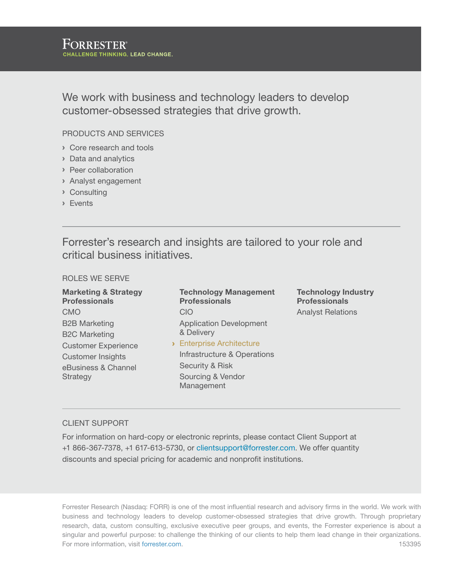We work with business and technology leaders to develop customer-obsessed strategies that drive growth.

#### Products and Services

- › Core research and tools
- › Data and analytics
- › Peer collaboration
- › Analyst engagement
- › Consulting
- › Events

Forrester's research and insights are tailored to your role and critical business initiatives.

#### Roles We Serve

Marketing & Strategy Professionals CMO B2B Marketing B2C Marketing Customer Experience Customer Insights eBusiness & Channel Strategy

Technology Management **Professionals** CIO Application Development & Delivery › Enterprise Architecture Infrastructure & Operations Security & Risk

Technology Industry Professionals Analyst Relations

#### Client support

For information on hard-copy or electronic reprints, please contact Client Support at +1 866-367-7378, +1 617-613-5730, or clientsupport@forrester.com. We offer quantity discounts and special pricing for academic and nonprofit institutions.

Sourcing & Vendor Management

Forrester Research (Nasdaq: FORR) is one of the most influential research and advisory firms in the world. We work with business and technology leaders to develop customer-obsessed strategies that drive growth. Through proprietary research, data, custom consulting, exclusive executive peer groups, and events, the Forrester experience is about a singular and powerful purpose: to challenge the thinking of our clients to help them lead change in their organizations. For more information, visit forrester.com. 153395